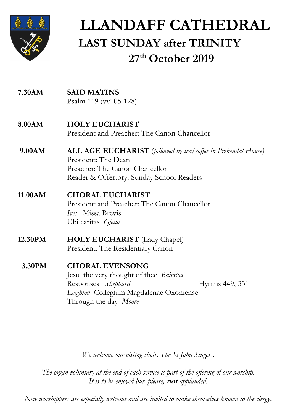

# **LLANDAFF CATHEDRAL LAST SUNDAY after TRINITY 27 th October 2019**

| <b>SAID MATINS</b>                                                                          |
|---------------------------------------------------------------------------------------------|
| Psalm 119 (vv105-128)                                                                       |
| <b>HOLY EUCHARIST</b>                                                                       |
| President and Preacher: The Canon Chancellor                                                |
| <b>ALL AGE EUCHARIST</b> (followed by tea/coffee in Prebendal House)<br>President: The Dean |
| Preacher: The Canon Chancellor                                                              |
| Reader & Offertory: Sunday School Readers                                                   |
| <b>CHORAL EUCHARIST</b>                                                                     |
| President and Preacher: The Canon Chancellor                                                |
| <i>Ives</i> Missa Brevis                                                                    |
| Ubi caritas Gjeilo                                                                          |
| <b>HOLY EUCHARIST</b> (Lady Chapel)                                                         |
| President: The Residentiary Canon                                                           |
|                                                                                             |
| <b>CHORAL EVENSONG</b>                                                                      |
| Jesu, the very thought of thee <i>Bairstow</i>                                              |
| Responses Shephard<br>Hymns 449, 331                                                        |
| Leighton Collegium Magdalenae Oxoniense                                                     |
| Through the day Moore                                                                       |
|                                                                                             |

*We welcome our visitng choir, The St John Singers.*

*The organ voluntary at the end of each service is part of the offering of our worship. It is to be enjoyed but, please,* **not** *applauded.*

*New worshippers are especially welcome and are invited to make themselves known to the clergy***.**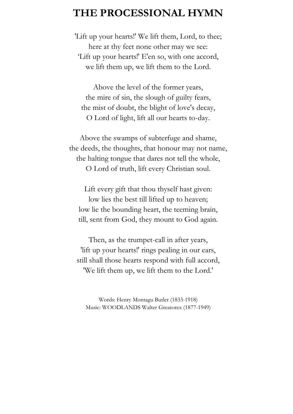### **THE PROCESSIONAL HYMN**

'Lift up your hearts!' We lift them, Lord, to thee; here at thy feet none other may we see: 'Lift up your hearts!' E'en so, with one accord, we lift them up, we lift them to the Lord.

Above the level of the former years, the mire of sin, the slough of guilty fears, the mist of doubt, the blight of love's decay, O Lord of light, lift all our hearts to-day.

Above the swamps of subterfuge and shame, the deeds, the thoughts, that honour may not name, the halting tongue that dares not tell the whole, O Lord of truth, lift every Christian soul.

Lift every gift that thou thyself hast given: low lies the best till lifted up to heaven; low lie the bounding heart, the teeming brain, till, sent from God, they mount to God again.

Then, as the trumpet-call in after years, 'lift up your hearts!' rings pealing in our ears, still shall those hearts respond with full accord, 'We lift them up, we lift them to the Lord.'

Words: Henry Montagu Butler (1833-1918) Music: WOODLANDS Walter Greatorex (1877-1949)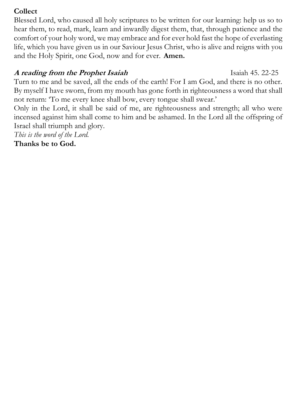#### **Collect**

Blessed Lord, who caused all holy scriptures to be written for our learning: help us so to hear them, to read, mark, learn and inwardly digest them, that, through patience and the comfort of your holy word, we may embrace and for ever hold fast the hope of everlasting life, which you have given us in our Saviour Jesus Christ, who is alive and reigns with you and the Holy Spirit, one God, now and for ever. **Amen.**

### **A reading from the Prophet Isaiah** Isaiah 45. 22-25

Turn to me and be saved, all the ends of the earth! For I am God, and there is no other. By myself I have sworn, from my mouth has gone forth in righteousness a word that shall not return: 'To me every knee shall bow, every tongue shall swear.'

Only in the Lord, it shall be said of me, are righteousness and strength; all who were incensed against him shall come to him and be ashamed. In the Lord all the offspring of Israel shall triumph and glory.

*This is the word of the Lord.*

**Thanks be to God.**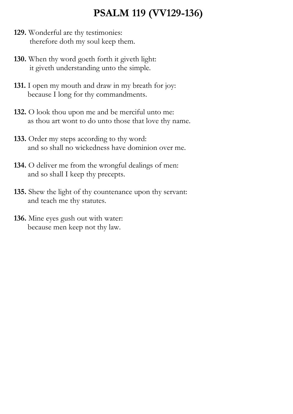## **PSALM 119 (VV129-136)**

- **129.** Wonderful are thy testimonies: therefore doth my soul keep them.
- **130.** When thy word goeth forth it giveth light: it giveth understanding unto the simple.
- **131.** I open my mouth and draw in my breath for joy: because I long for thy commandments.
- **132.** O look thou upon me and be merciful unto me: as thou art wont to do unto those that love thy name.
- **133.** Order my steps according to thy word: and so shall no wickedness have dominion over me.
- **134.** O deliver me from the wrongful dealings of men: and so shall I keep thy precepts.
- **135.** Shew the light of thy countenance upon thy servant: and teach me thy statutes.
- **136.** Mine eyes gush out with water: because men keep not thy law.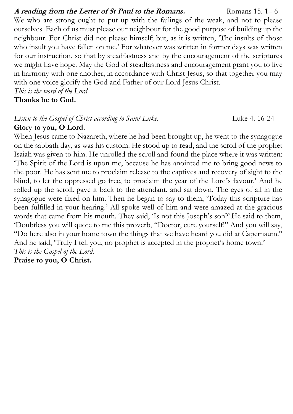#### A reading from the Letter of St Paul to the Romans. Romans 15. 1–6

We who are strong ought to put up with the failings of the weak, and not to please ourselves. Each of us must please our neighbour for the good purpose of building up the neighbour. For Christ did not please himself; but, as it is written, 'The insults of those who insult you have fallen on me.' For whatever was written in former days was written for our instruction, so that by steadfastness and by the encouragement of the scriptures we might have hope. May the God of steadfastness and encouragement grant you to live in harmony with one another, in accordance with Christ Jesus, so that together you may with one voice glorify the God and Father of our Lord Jesus Christ.

*This is the word of the Lord.* 

**Thanks be to God.**

### *Listen to the Gospel of Christ according to Saint Luke*. Luke 4. 16-24

### **Glory to you, O Lord.**

When Jesus came to Nazareth, where he had been brought up, he went to the synagogue on the sabbath day, as was his custom. He stood up to read, and the scroll of the prophet Isaiah was given to him. He unrolled the scroll and found the place where it was written: 'The Spirit of the Lord is upon me, because he has anointed me to bring good news to the poor. He has sent me to proclaim release to the captives and recovery of sight to the blind, to let the oppressed go free, to proclaim the year of the Lord's favour.' And he rolled up the scroll, gave it back to the attendant, and sat down. The eyes of all in the synagogue were fixed on him. Then he began to say to them, 'Today this scripture has been fulfilled in your hearing.' All spoke well of him and were amazed at the gracious words that came from his mouth. They said, 'Is not this Joseph's son?' He said to them, 'Doubtless you will quote to me this proverb, "Doctor, cure yourself!" And you will say, "Do here also in your home town the things that we have heard you did at Capernaum." And he said, 'Truly I tell you, no prophet is accepted in the prophet's home town.' *This is the Gospel of the Lord.* 

#### **Praise to you, O Christ.**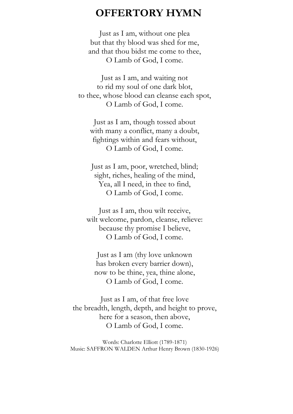### **OFFERTORY HYMN**

Just as I am, without one plea but that thy blood was shed for me, and that thou bidst me come to thee, O Lamb of God, I come.

Just as I am, and waiting not to rid my soul of one dark blot, to thee, whose blood can cleanse each spot, O Lamb of God, I come.

Just as I am, though tossed about with many a conflict, many a doubt, fightings within and fears without, O Lamb of God, I come.

Just as I am, poor, wretched, blind; sight, riches, healing of the mind, Yea, all I need, in thee to find, O Lamb of God, I come.

Just as I am, thou wilt receive, wilt welcome, pardon, cleanse, relieve: because thy promise I believe, O Lamb of God, I come.

Just as I am (thy love unknown has broken every barrier down), now to be thine, yea, thine alone, O Lamb of God, I come.

Just as I am, of that free love the breadth, length, depth, and height to prove, here for a season, then above, O Lamb of God, I come.

Words: Charlotte Elliott (1789-1871) Music: SAFFRON WALDEN Arthur Henry Brown (1830-1926)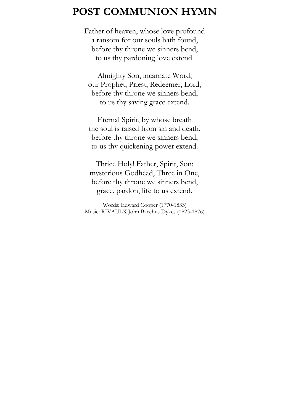### **POST COMMUNION HYMN**

Father of heaven, whose love profound a ransom for our souls hath found, before thy throne we sinners bend, to us thy pardoning love extend.

Almighty Son, incarnate Word, our Prophet, Priest, Redeemer, Lord, before thy throne we sinners bend, to us thy saving grace extend.

Eternal Spirit, by whose breath the soul is raised from sin and death, before thy throne we sinners bend, to us thy quickening power extend.

Thrice Holy! Father, Spirit, Son; mysterious Godhead, Three in One, before thy throne we sinners bend, grace, pardon, life to us extend.

Words: Edward Cooper (1770-1833) Music: RIVAULX John Bacchus Dykes (1823-1876)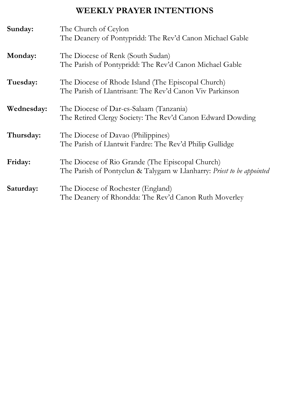### **WEEKLY PRAYER INTENTIONS**

| Sunday:    | The Church of Ceylon<br>The Deanery of Pontypridd: The Rev'd Canon Michael Gable                                           |
|------------|----------------------------------------------------------------------------------------------------------------------------|
| Monday:    | The Diocese of Renk (South Sudan)<br>The Parish of Pontypridd: The Rev'd Canon Michael Gable                               |
| Tuesday:   | The Diocese of Rhode Island (The Episcopal Church)<br>The Parish of Llantrisant: The Rev'd Canon Viv Parkinson             |
| Wednesday: | The Diocese of Dar-es-Salaam (Tanzania)<br>The Retired Clergy Society: The Rev'd Canon Edward Dowding                      |
| Thursday:  | The Diocese of Davao (Philippines)<br>The Parish of Llantwit Fardre: The Rev'd Philip Gullidge                             |
| Friday:    | The Diocese of Rio Grande (The Episcopal Church)<br>The Parish of Pontyclun & Talygarn w Llanharry: Priest to be appointed |
| Saturday:  | The Diocese of Rochester (England)<br>The Deanery of Rhondda: The Rev'd Canon Ruth Moverley                                |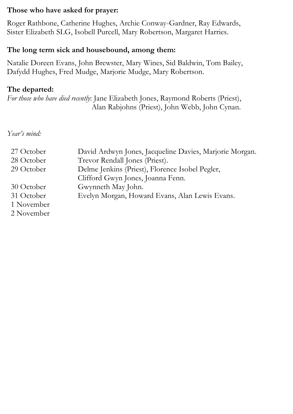#### **Those who have asked for prayer:**

Roger Rathbone, Catherine Hughes, Archie Conway-Gardner, Ray Edwards, Sister Elizabeth SLG, Isobell Purcell, Mary Robertson, Margaret Harries.

#### **The long term sick and housebound, among them:**

Natalie Doreen Evans, John Brewster, Mary Wines, Sid Baldwin, Tom Bailey, Dafydd Hughes, Fred Mudge, Marjorie Mudge, Mary Robertson.

#### **The departed:**

*For those who have died recently*: Jane Elizabeth Jones, Raymond Roberts (Priest), Alan Rabjohns (Priest), John Webb, John Cynan.

*Year's mind:*

| 27 October<br>28 October<br>29 October               | David Ardwyn Jones, Jacqueline Davies, Marjorie Morgan.<br>Trevor Rendall Jones (Priest).<br>Delme Jenkins (Priest), Florence Isobel Pegler,<br>Clifford Gwyn Jones, Joanna Fenn. |
|------------------------------------------------------|-----------------------------------------------------------------------------------------------------------------------------------------------------------------------------------|
| 30 October<br>31 October<br>1 November<br>2 November | Gwynneth May John.<br>Evelyn Morgan, Howard Evans, Alan Lewis Evans.                                                                                                              |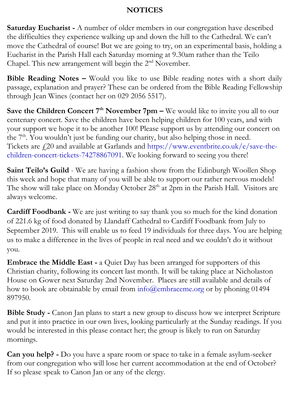#### **NOTICES**

**Saturday Eucharist -** A number of older members in our congregation have described the difficulties they experience walking up and down the hill to the Cathedral. We can't move the Cathedral of course! But we are going to try, on an experimental basis, holding a Eucharist in the Parish Hall each Saturday morning at 9.30am rather than the Teilo Chapel. This new arrangement will begin the 2<sup>nd</sup> November.

**Bible Reading Notes –** Would you like to use Bible reading notes with a short daily passage, explanation and prayer? These can be ordered from the Bible Reading Fellowship through Jean Wines (contact her on 029 2056 5517).

**Save the Children Concert 7th November 7pm –** We would like to invite you all to our centenary concert. Save the children have been helping children for 100 years, and with your support we hope it to be another 100! Please support us by attending our concert on the 7<sup>th</sup>. You wouldn't just be funding our charity, but also helping those in need. Tickets are  $f(20)$  and available at Garlands and [https://www.eventbrite.co.uk/e/save-the](https://www.eventbrite.co.uk/e/save-the-children-concert-tickets-74278867091)[children-concert-tickets-74278867091.](https://www.eventbrite.co.uk/e/save-the-children-concert-tickets-74278867091) We looking forward to seeing you there!

**Saint Teilo's Guild** - We are having a fashion show from the Edinburgh Woollen Shop this week and hope that many of you will be able to support our rather nervous models! The show will take place on Monday October 28<sup>th</sup> at 2pm in the Parish Hall. Visitors are always welcome.

**Cardiff Foodbank -** We are just writing to say thank you so much for the kind donation of 221.6 kg of food donated by Llandaff Cathedral to Cardiff Foodbank from July to September 2019. This will enable us to feed 19 individuals for three days. You are helping us to make a difference in the lives of people in real need and we couldn't do it without you.

**Embrace the Middle East -** a Quiet Day has been arranged for supporters of this Christian charity, following its concert last month. It will be taking place at Nicholaston House on Gower next Saturday 2nd November. Places are still available and details of how to book are obtainable by email from  $info@embraceme.org$  or by phoning 01494 897950.

**Bible Study -** Canon Jan plans to start a new group to discuss how we interpret Scripture and put it into practice in our own lives, looking particularly at the Sunday readings. If you would be interested in this please contact her; the group is likely to run on Saturday mornings.

**Can you help? -** Do you have a spare room or space to take in a female asylum-seeker from our congregation who will lose her current accommodation at the end of October? If so please speak to Canon Jan or any of the clergy.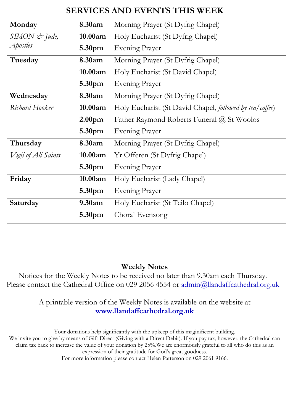### **SERVICES AND EVENTS THIS WEEK**

| Monday              | 8.30am             | Morning Prayer (St Dyfrig Chapel)                        |
|---------------------|--------------------|----------------------------------------------------------|
| $SIMON$ & Jude,     | 10.00am            | Holy Eucharist (St Dyfrig Chapel)                        |
| Apostles            | 5.30pm             | Evening Prayer                                           |
| Tuesday             | 8.30am             | Morning Prayer (St Dyfrig Chapel)                        |
|                     | 10.00am            | Holy Eucharist (St David Chapel)                         |
|                     | 5.30pm             | Evening Prayer                                           |
| Wednesday           | 8.30am             | Morning Prayer (St Dyfrig Chapel)                        |
| Richard Hooker      | 10.00am            | Holy Eucharist (St David Chapel, followed by tea/coffee) |
|                     | 2.00 <sub>pm</sub> | Father Raymond Roberts Funeral @ St Woolos               |
|                     | 5.30pm             | Evening Prayer                                           |
| Thursday            | 8.30am             | Morning Prayer (St Dyfrig Chapel)                        |
| Vigil of All Saints | 10.00am            | Yr Offeren (St Dyfrig Chapel)                            |
|                     | 5.30 <sub>pm</sub> | Evening Prayer                                           |
| Friday              | 10.00am            | Holy Eucharist (Lady Chapel)                             |
|                     | 5.30pm             | Evening Prayer                                           |
| Saturday            | 9.30am             | Holy Eucharist (St Teilo Chapel)                         |
|                     | 5.30 <sub>pm</sub> | Choral Evensong                                          |

#### **Weekly Notes**

Notices for the Weekly Notes to be received no later than 9.30am each Thursday. Please contact the Cathedral Office on 029 2056 4554 or [admin@llandaffcathedral.org.uk](mailto:admin@llandaffcathedral.org.uk)

#### A printable version of the Weekly Notes is available on the website at **[www.llandaffcathedral.org.uk](http://www.llandaffcathedral.org.uk/)**

Your donations help significantly with the upkeep of this maginificent building. We invite you to give by means of Gift Direct (Giving with a Direct Debit). If you pay tax, however, the Cathedral can claim tax back to increase the value of your donation by 25%.We are enormously grateful to all who do this as an expression of their gratitude for God's great goodness. For more information please contact Helen Patterson on 029 2061 9166.